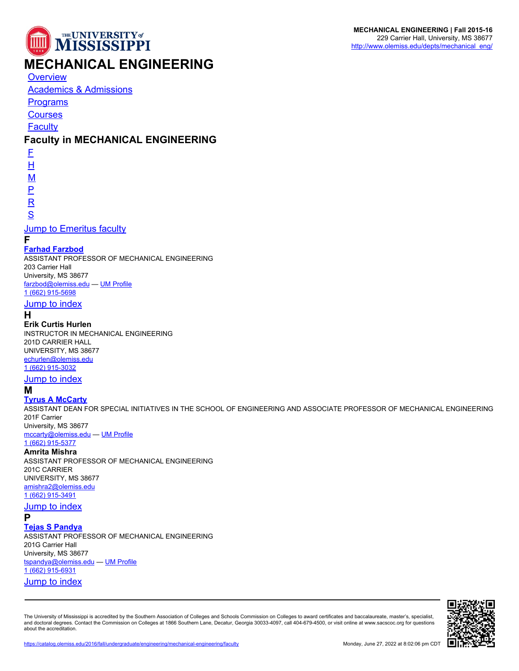

# **MECHANICAL ENGINEERING**

**[Overview](https://catalog.olemiss.edu/2016/fall/engineering/mechanical-engineering)** 

[Academics & Admissions](https://catalog.olemiss.edu/2016/fall/engineering/mechanical-engineering/academics)

**[Programs](https://catalog.olemiss.edu/2016/fall/engineering/mechanical-engineering/programs)** 

**[Courses](https://catalog.olemiss.edu/2016/fall/engineering/mechanical-engineering/courses)** 

**[Faculty](https://catalog.olemiss.edu/2016/fall/engineering/mechanical-engineering/faculty)** 

# **Faculty in MECHANICAL ENGINEERING**

[F](#page--1-0)

[H](#page--1-0)

[M](#page--1-0)

[P](#page--1-0)

[R](#page--1-0)

[S](#page--1-0)

### [Jump to Emeritus faculty](#page--1-0)

**F**

### **[Farhad Farzbod](http://www.olemiss.edu/people/farzbod)**

ASSISTANT PROFESSOR OF MECHANICAL ENGINEERING 203 Carrier Hall University, MS 38677 [farzbod@olemiss.edu](http://catalog.olemiss.edu/mailto:farzbod@olemiss.edu) — [UM Profile](http://www.olemiss.edu/people/farzbod) [1 \(662\) 915-5698](http://catalog.olemiss.edu/tel:16629155698)

### [Jump to index](#page--1-0)

**H**

#### **Erik Curtis Hurlen**

INSTRUCTOR IN MECHANICAL ENGINEERING 201D CARRIER HALL UNIVERSITY, MS 38677 [echurlen@olemiss.edu](http://catalog.olemiss.edu/mailto:echurlen@olemiss.edu) [1 \(662\) 915-3032](http://catalog.olemiss.edu/tel:16629153032)

#### [Jump to index](#page--1-0)

#### **M**

#### **[Tyrus A McCarty](http://www.olemiss.edu/people/mccarty)**

ASSISTANT DEAN FOR SPECIAL INITIATIVES IN THE SCHOOL OF ENGINEERING AND ASSOCIATE PROFESSOR OF MECHANICAL ENGINEERING 201F Carrier

University, MS 38677 [mccarty@olemiss.edu](http://catalog.olemiss.edu/mailto:mccarty@olemiss.edu) — [UM Profile](http://www.olemiss.edu/people/mccarty)

# [1 \(662\) 915-5377](http://catalog.olemiss.edu/tel:16629155377)

# **Amrita Mishra**

ASSISTANT PROFESSOR OF MECHANICAL ENGINEERING 201C CARRIER UNIVERSITY, MS 38677 [amishra2@olemiss.edu](http://catalog.olemiss.edu/mailto:amishra2@olemiss.edu) [1 \(662\) 915-3491](http://catalog.olemiss.edu/tel:16629153491)

**[Jump to index](#page--1-0)** 

### **P**

**[Tejas S Pandya](http://www.olemiss.edu/people/tspandya)**

ASSISTANT PROFESSOR OF MECHANICAL ENGINEERING 201G Carrier Hall University, MS 38677 [tspandya@olemiss.edu](http://catalog.olemiss.edu/mailto:tspandya@olemiss.edu) — [UM Profile](http://www.olemiss.edu/people/tspandya) [1 \(662\) 915-6931](http://catalog.olemiss.edu/tel:16629156931) [Jump to index](#page--1-0)

The University of Mississippi is accredited by the Southern Association of Colleges and Schools Commission on Colleges to award certificates and baccalaureate, master's, specialist, and doctoral degrees. Contact the Commission on Colleges at 1866 Southern Lane, Decatur, Georgia 30033-4097, call 404-679-4500, or visit online at www.sacscoc.org for questions about the accreditation.